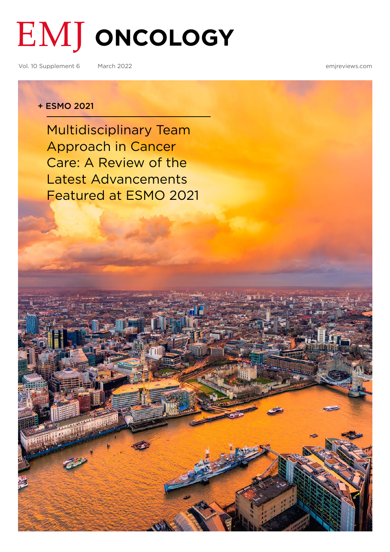# **EMJ ONCOLOGY**

Vol. 10 Supplement 6 March 2022 [emjreviews.com](https://www.emjreviews.com/)

#### + ESMO 2021

Multidisciplinary Team Approach in Cancer Care: A Review of the Latest Advancements [Featured at ESMO 2021](#page-1-0)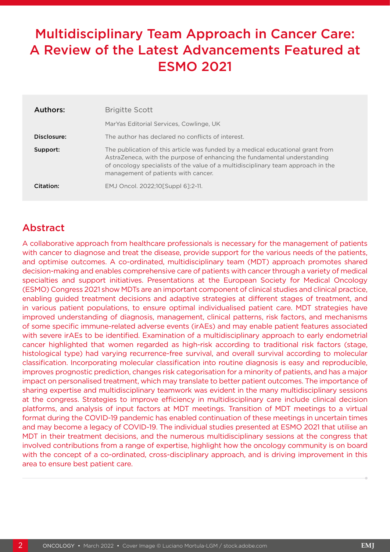## <span id="page-1-0"></span>Multidisciplinary Team Approach in Cancer Care: A Review of the Latest Advancements Featured at ESMO 2021

| Authors:    | <b>Brigitte Scott</b>                                                                                                                                                                                                                                                                 |
|-------------|---------------------------------------------------------------------------------------------------------------------------------------------------------------------------------------------------------------------------------------------------------------------------------------|
|             | Mar Yas Editorial Services, Cowlinge, UK                                                                                                                                                                                                                                              |
| Disclosure: | The author has declared no conflicts of interest.                                                                                                                                                                                                                                     |
| Support:    | The publication of this article was funded by a medical educational grant from<br>AstraZeneca, with the purpose of enhancing the fundamental understanding<br>of oncology specialists of the value of a multidisciplinary team approach in the<br>management of patients with cancer. |
| Citation:   | EMJ Oncol. 2022;10[Suppl 6]:2-11.                                                                                                                                                                                                                                                     |

### Abstract

A collaborative approach from healthcare professionals is necessary for the management of patients with cancer to diagnose and treat the disease, provide support for the various needs of the patients, and optimise outcomes. A co-ordinated, multidisciplinary team (MDT) approach promotes shared decision-making and enables comprehensive care of patients with cancer through a variety of medical specialties and support initiatives. Presentations at the European Society for Medical Oncology (ESMO) Congress 2021 show MDTs are an important component of clinical studies and clinical practice, enabling guided treatment decisions and adaptive strategies at different stages of treatment, and in various patient populations, to ensure optimal individualised patient care. MDT strategies have improved understanding of diagnosis, management, clinical patterns, risk factors, and mechanisms of some specific immune-related adverse events (irAEs) and may enable patient features associated with severe irAEs to be identified. Examination of a multidisciplinary approach to early endometrial cancer highlighted that women regarded as high-risk according to traditional risk factors (stage, histological type) had varying recurrence-free survival, and overall survival according to molecular classification. Incorporating molecular classification into routine diagnosis is easy and reproducible, improves prognostic prediction, changes risk categorisation for a minority of patients, and has a major impact on personalised treatment, which may translate to better patient outcomes. The importance of sharing expertise and multidisciplinary teamwork was evident in the many multidisciplinary sessions at the congress. Strategies to improve efficiency in multidisciplinary care include clinical decision platforms, and analysis of input factors at MDT meetings. Transition of MDT meetings to a virtual format during the COVID-19 pandemic has enabled continuation of these meetings in uncertain times and may become a legacy of COVID-19. The individual studies presented at ESMO 2021 that utilise an MDT in their treatment decisions, and the numerous multidisciplinary sessions at the congress that involved contributions from a range of expertise, highlight how the oncology community is on board with the concept of a co-ordinated, cross-disciplinary approach, and is driving improvement in this area to ensure best patient care.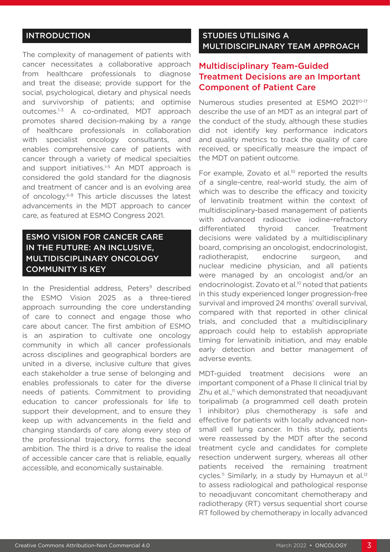#### INTRODUCTION

The complexity of management of patients with cancer necessitates a collaborative approach from healthcare professionals to diagnose and treat the disease; provide support for the social, psychological, dietary and physical needs and survivorship of patients; and optimise outcomes.1-3 A co-ordinated, MDT approach promotes shared decision-making by a range of healthcare professionals in collaboration with specialist oncology consultants, and enables comprehensive care of patients with cancer through a variety of medical specialties and support initiatives.<sup>1-5</sup> An MDT approach is considered the gold standard for the diagnosis and treatment of cancer and is an evolving area of oncology.6-8 This article discusses the latest advancements in the MDT approach to cancer care, as featured at ESMO Congress 2021.

#### ESMO VISION FOR CANCER CARE IN THE FUTURE: AN INCLUSIVE, MULTIDISCIPLINARY ONCOLOGY COMMUNITY IS KEY

In the Presidential address, Peters<sup>9</sup> described the ESMO Vision 2025 as a three-tiered approach surrounding the core understanding of care to connect and engage those who care about cancer. The first ambition of ESMO is an aspiration to cultivate one oncology community in which all cancer professionals across disciplines and geographical borders are united in a diverse, inclusive culture that gives each stakeholder a true sense of belonging and enables professionals to cater for the diverse needs of patients. Commitment to providing education to cancer professionals for life to support their development, and to ensure they keep up with advancements in the field and changing standards of care along every step of the professional trajectory, forms the second ambition. The third is a drive to realise the ideal of accessible cancer care that is reliable, equally accessible, and economically sustainable.

#### STUDIES UTILISING A MULTIDISCIPLINARY TEAM APPROACH

#### Multidisciplinary Team-Guided Treatment Decisions are an Important Component of Patient Care

Numerous studies presented at ESMO 2021<sup>10-17</sup> describe the use of an MDT as an integral part of the conduct of the study, although these studies did not identify key performance indicators and quality metrics to track the quality of care received, or specifically measure the impact of the MDT on patient outcome.

For example, Zovato et al.<sup>10</sup> reported the results of a single-centre, real-world study, the aim of which was to describe the efficacy and toxicity of lenvatinib treatment within the context of multidisciplinary-based management of patients with advanced radioactive iodine–refractory differentiated thyroid cancer. Treatment decisions were validated by a multidisciplinary board, comprising an oncologist, endocrinologist, radiotherapist, endocrine surgeon, and nuclear medicine physician, and all patients were managed by an oncologist and/or an endocrinologist. Zovato et al.<sup>10</sup> noted that patients in this study experienced longer progression-free survival and improved 24 months' overall survival, compared with that reported in other clinical trials, and concluded that a multidisciplinary approach could help to establish appropriate timing for lenvatinib initiation, and may enable early detection and better management of adverse events.

MDT-guided treatment decisions were an important component of a Phase II clinical trial by  $Z$ hu et al., $<sup>11</sup>$  which demonstrated that neoadjuvant</sup> toripalimab (a programmed cell death protein 1 inhibitor) plus chemotherapy is safe and effective for patients with locally advanced nonsmall cell lung cancer. In this study, patients were reassessed by the MDT after the second treatment cycle and candidates for complete resection underwent surgery, whereas all other patients received the remaining treatment cycles.<sup>11</sup> Similarly, in a study by Humayun et al.<sup>12</sup> to assess radiological and pathological response to neoadjuvant concomitant chemotherapy and radiotherapy (RT) versus sequential short course RT followed by chemotherapy in locally advanced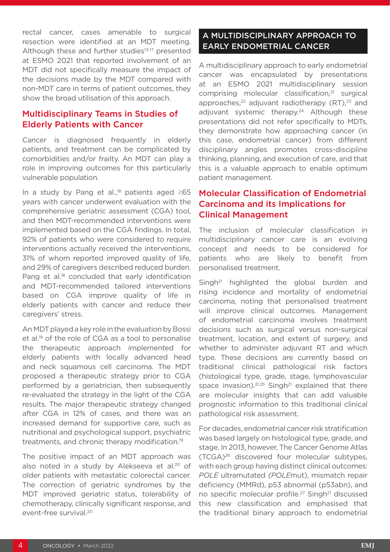rectal cancer, cases amenable to surgical resection were identified at an MDT meeting. Although these and further studies<sup>13-17</sup> presented at ESMO 2021 that reported involvement of an MDT did not specifically measure the impact of the decisions made by the MDT compared with non-MDT care in terms of patient outcomes, they show the broad utilisation of this approach.

#### Multidisciplinary Teams in Studies of Elderly Patients with Cancer

Cancer is diagnosed frequently in elderly patients, and treatment can be complicated by comorbidities and/or frailty. An MDT can play a role in improving outcomes for this particularly vulnerable population.

In a study by Pang et al.,18 patients aged ≥65 years with cancer underwent evaluation with the comprehensive geriatric assessment (CGA) tool, and then MDT-recommended interventions were implemented based on the CGA findings. In total, 92% of patients who were considered to require interventions actually received the interventions, 31% of whom reported improved quality of life, and 29% of caregivers described reduced burden. Pang et al.<sup>18</sup> concluded that early identification and MDT-recommended tailored interventions based on CGA improve quality of life in elderly patients with cancer and reduce their caregivers' stress.

An MDT played a key role in the evaluation by Bossi et al.19 of the role of CGA as a tool to personalise the therapeutic approach implemented for elderly patients with locally advanced head and neck squamous cell carcinoma. The MDT proposed a therapeutic strategy prior to CGA performed by a geriatrician, then subsequently re-evaluated the strategy in the light of the CGA results. The major therapeutic strategy changed after CGA in 12% of cases, and there was an increased demand for supportive care, such as nutritional and psychological support, psychiatric treatments, and chronic therapy modification.19

The positive impact of an MDT approach was also noted in a study by Alekseeva et al.<sup>20</sup> of older patients with metastatic colorectal cancer. The correction of geriatric syndromes by the MDT improved geriatric status, tolerability of chemotherapy, clinically significant response, and event-free survival.20

#### A MULTIDISCIPLINARY APPROACH TO EARLY ENDOMETRIAL CANCER

A multidisciplinary approach to early endometrial cancer was encapsulated by presentations at an ESMO 2021 multidisciplinary session comprising molecular classification,<sup>21</sup> surgical approaches, $^{22}$  adjuvant radiotherapy (RT), $^{23}$  and adiuvant systemic therapy.<sup>24</sup> Although these presentations did not refer specifically to MDTs, they demonstrate how approaching cancer (in this case, endometrial cancer) from different disciplinary angles promotes cross-discipline thinking, planning, and execution of care, and that this is a valuable approach to enable optimum patient management.

#### Molecular Classification of Endometrial Carcinoma and its Implications for Clinical Management

The inclusion of molecular classification in multidisciplinary cancer care is an evolving concept and needs to be considered for patients who are likely to benefit from personalised treatment.

Singh<sup>21</sup> highlighted the global burden and rising incidence and mortality of endometrial carcinoma, noting that personalised treatment will improve clinical outcomes. Management of endometrial carcinoma involves treatment decisions such as surgical versus non-surgical treatment, location, and extent of surgery, and whether to administer adjuvant RT and which type. These decisions are currently based on traditional clinical pathological risk factors (histological type, grade, stage, lymphovascular space invasion). $21,25$  Singh<sup>21</sup> explained that there are molecular insights that can add valuable prognostic information to this traditional clinical pathological risk assessment.

For decades, endometrial cancer risk stratification was based largely on histological type, grade, and stage. In 2013, however, The Cancer Genome Atlas (TCGA)26 discovered four molecular subtypes, with each group having distinct clinical outcomes: *POLE* ultramutated *(POLE*mut), mismatch repair deficiency (MMRd), p53 abnormal (p53abn), and no specific molecular profile.<sup>27</sup> Singh<sup>21</sup> discussed this new classification and emphasised that the traditional binary approach to endometrial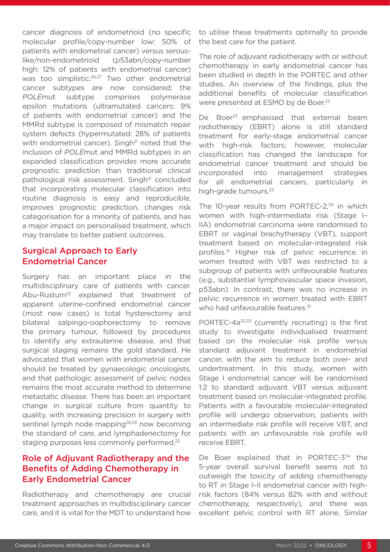cancer diagnosis of endometrioid (no specific molecular profile/copy-number low: 50% of patients with endometrial cancer) versus serouslike/non-endometrioid (p53abn/copy-number high: 12% of patients with endometrial cancer) was too simplistic.<sup>26,27</sup> Two other endometrial cancer subtypes are now considered: the *POLE*mut subtype comprises polymerase epsilon mutations (ultramutated cancers: 9% of patients with endometrial cancer) and the MMRd subtype is composed of mismatch repair system defects (hypermutated: 28% of patients with endometrial cancer). Singh<sup>21</sup> noted that the inclusion of *POLE*mut and MMRd subtypes in an expanded classification provides more accurate prognostic prediction than traditional clinical pathological risk assessment. Singh<sup>21</sup> concluded that incorporating molecular classification into routine diagnosis is easy and reproducible, improves prognostic prediction, changes risk categorisation for a minority of patients, and has a major impact on personalised treatment, which may translate to better patient outcomes.

#### Surgical Approach to Early Endometrial Cancer

Surgery has an important place in the multidisciplinary care of patients with cancer. Abu-Rustum<sup>22</sup> explained that treatment of apparent uterine-confined endometrial cancer (most new cases) is total hysterectomy and bilateral salpingo-oophorectomy to remove the primary tumour, followed by procedures to identify any extrauterine disease, and that surgical staging remains the gold standard. He advocated that women with endometrial cancer should be treated by gynaecologic oncologists, and that pathologic assessment of pelvic nodes remains the most accurate method to determine metastatic disease. There has been an important change in surgical culture from quantity to quality, with increasing precision in surgery with sentinel lymph node mapping<sup>28,29</sup> now becoming the standard of care, and lymphadenectomy for staging purposes less commonly performed.<sup>22</sup>

#### Role of Adjuvant Radiotherapy and the Benefits of Adding Chemotherapy in Early Endometrial Cancer

Radiotherapy and chemotherapy are crucial treatment approaches in multidisciplinary cancer care, and it is vital for the MDT to understand how

to utilise these treatments optimally to provide the best care for the patient.

The role of adjuvant radiotherapy with or without chemotherapy in early endometrial cancer has been studied in depth in the PORTEC and other studies. An overview of the findings, plus the additional benefits of molecular classification were presented at ESMO by de Boer.<sup>23</sup>

De Boer<sup>23</sup> emphasised that external beam radiotherapy (EBRT) alone is still standard treatment for early-stage endometrial cancer with high-risk factors; however, molecular classification has changed the landscape for endometrial cancer treatment and should be incorporated into management strategies for all endometrial cancers, particularly in high-grade tumours.<sup>23</sup>

The 10-year results from PORTEC-2,<sup>30</sup> in which women with high-intermediate risk (Stage I– IIA) endometrial carcinoma were randomised to EBRT or vaginal brachytherapy (VBT), support treatment based on molecular-integrated risk profiles.<sup>31</sup> Higher risk of pelvic recurrence in women treated with VBT was restricted to a subgroup of patients with unfavourable features (e.g., substantial lymphovascular space invasion, p53abn). In contrast, there was no increase in pelvic recurrence in women treated with EBRT who had unfavourable features.<sup>31</sup>

PORTEC-4a<sup>32,33</sup> (currently recruiting) is the first study to investigate individualised treatment based on the molecular risk profile versus standard adjuvant treatment in endometrial cancer, with the aim to reduce both over- and undertreatment. In this study, women with Stage I endometrial cancer will be randomised 1:2 to standard adjuvant VBT versus adjuvant treatment based on molecular-integrated profile. Patients with a favourable molecular-integrated profile will undergo observation, patients with an intermediate risk profile will receive VBT, and patients with an unfavourable risk profile will receive EBRT.

De Boer explained that in PORTEC-3<sup>34</sup> the 5-year overall survival benefit seems not to outweigh the toxicity of adding chemotherapy to RT in Stage I–II endometrial cancer with highrisk factors (84% versus 82% with and without chemotherapy, respectively), and there was excellent pelvic control with RT alone. Similar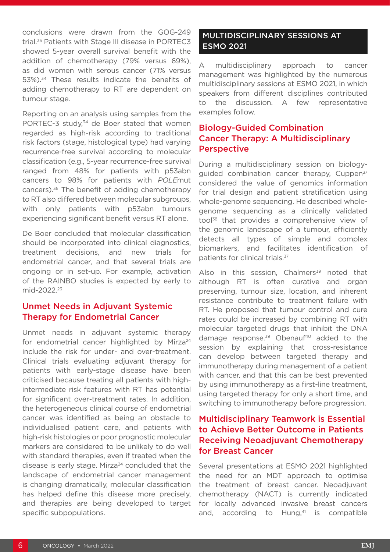conclusions were drawn from the GOG-249 trial.35 Patients with Stage III disease in PORTEC3 showed 5-year overall survival benefit with the addition of chemotherapy (79% versus 69%), as did women with serous cancer (71% versus 53%).34 These results indicate the benefits of adding chemotherapy to RT are dependent on tumour stage.

Reporting on an analysis using samples from the PORTEC-3 study,<sup>34</sup> de Boer stated that women regarded as high-risk according to traditional risk factors (stage, histological type) had varying recurrence-free survival according to molecular classification (e.g., 5-year recurrence-free survival ranged from 48% for patients with p53abn cancers to 98% for patients with *POLE*mut cancers).36 The benefit of adding chemotherapy to RT also differed between molecular subgroups, with only patients with p53abn tumours experiencing significant benefit versus RT alone.

De Boer concluded that molecular classification should be incorporated into clinical diagnostics, treatment decisions, and new trials for endometrial cancer, and that several trials are ongoing or in set-up. For example, activation of the RAINBO studies is expected by early to mid-2022.23

#### Unmet Needs in Adjuvant Systemic Therapy for Endometrial Cancer

Unmet needs in adjuvant systemic therapy for endometrial cancer highlighted by Mirza $24$ include the risk for under- and over-treatment. Clinical trials evaluating adjuvant therapy for patients with early-stage disease have been criticised because treating all patients with highintermediate risk features with RT has potential for significant over-treatment rates. In addition, the heterogeneous clinical course of endometrial cancer was identified as being an obstacle to individualised patient care, and patients with high-risk histologies or poor prognostic molecular markers are considered to be unlikely to do well with standard therapies, even if treated when the disease is early stage. Mirza<sup>24</sup> concluded that the landscape of endometrial cancer management is changing dramatically, molecular classification has helped define this disease more precisely, and therapies are being developed to target specific subpopulations.

#### MULTIDISCIPLINARY SESSIONS AT ESMO 2021

A multidisciplinary approach to cancer management was highlighted by the numerous multidisciplinary sessions at ESMO 2021, in which speakers from different disciplines contributed to the discussion. A few representative examples follow.

#### Biology-Guided Combination Cancer Therapy: A Multidisciplinary Perspective

During a multidisciplinary session on biologyguided combination cancer therapy, Cuppen<sup>37</sup> considered the value of genomics information for trial design and patient stratification using whole-genome sequencing. He described wholegenome sequencing as a clinically validated tool<sup>38</sup> that provides a comprehensive view of the genomic landscape of a tumour, efficiently detects all types of simple and complex biomarkers, and facilitates identification of patients for clinical trials.37

Also in this session, Chalmers $39$  noted that although RT is often curative and organ preserving, tumour size, location, and inherent resistance contribute to treatment failure with RT. He proposed that tumour control and cure rates could be increased by combining RT with molecular targeted drugs that inhibit the DNA damage response.<sup>39</sup> Obenauf<sup>40</sup> added to the session by explaining that cross-resistance can develop between targeted therapy and immunotherapy during management of a patient with cancer, and that this can be best prevented by using immunotherapy as a first-line treatment, using targeted therapy for only a short time, and switching to immunotherapy before progression.

#### Multidisciplinary Teamwork is Essential to Achieve Better Outcome in Patients Receiving Neoadjuvant Chemotherapy for Breast Cancer

Several presentations at ESMO 2021 highlighted the need for an MDT approach to optimise the treatment of breast cancer. Neoadjuvant chemotherapy (NACT) is currently indicated for locally advanced invasive breast cancers and, according to Hung, $41$  is compatible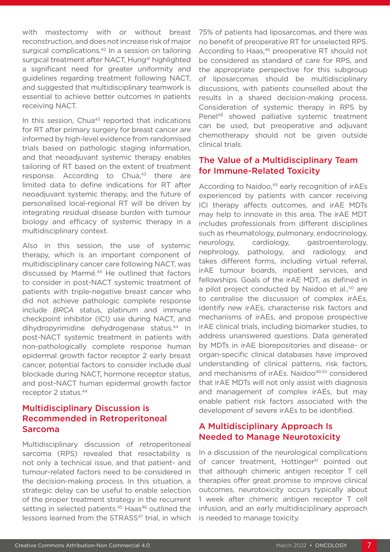with mastectomy with or without breast reconstruction, and does not increase risk of major surgical complications.<sup>42</sup> In a session on tailoring surgical treatment after NACT, Hung<sup>41</sup> highlighted a significant need for greater uniformity and guidelines regarding treatment following NACT, and suggested that multidisciplinary teamwork is essential to achieve better outcomes in patients receiving NACT.

In this session,  $Chua^{43}$  reported that indications for RT after primary surgery for breast cancer are informed by high-level evidence from randomised trials based on pathologic staging information, and that neoadjuvant systemic therapy enables tailoring of RT based on the extent of treatment response. According to Chua,<sup>43</sup> there are limited data to define indications for RT after neoadjuvant systemic therapy, and the future of personalised local-regional RT will be driven by integrating residual disease burden with tumour biology and efficacy of systemic therapy in a multidisciplinary context.

Also in this session, the use of systemic therapy, which is an important component of multidisciplinary cancer care following NACT, was discussed by Marmé. 44 He outlined that factors to consider in post-NACT systemic treatment of patients with triple-negative breast cancer who did not achieve pathologic complete response include *BRCA* status, platinum and immune checkpoint inhibitor (ICI) use during NACT, and dihydropyrimidine dehydrogenase status.<sup>44</sup> In post-NACT systemic treatment in patients with non-pathologically complete response human epidermal growth factor receptor 2 early breast cancer, potential factors to consider include dual blockade during NACT, hormone receptor status, and post-NACT human epidermal growth factor receptor 2 status.44

#### Multidisciplinary Discussion is Recommended in Retroperitoneal Sarcoma

Multidisciplinary discussion of retroperitoneal sarcoma (RPS) revealed that resectability is not only a technical issue, and that patient- and tumour-related factors need to be considered in the decision-making process. In this situation, a strategic delay can be useful to enable selection of the proper treatment strategy in the recurrent setting in selected patients.<sup>45</sup> Haas<sup>46</sup> outlined the lessons learned from the STRASS<sup>47</sup> trial, in which 75% of patients had liposarcomas, and there was no benefit of preoperative RT for unselected RPS. According to Haas,<sup>46</sup> preoperative RT should not be considered as standard of care for RPS, and the appropriate perspective for this subgroup of liposarcomas should be multidisciplinary discussions, with patients counselled about the results in a shared decision-making process. Consideration of systemic therapy in RPS by Penel48 showed palliative systemic treatment can be used, but preoperative and adjuvant chemotherapy should not be given outside clinical trials.

#### The Value of a Multidisciplinary Team for Immune-Related Toxicity

According to Naidoo,<sup>49</sup> early recognition of irAEs experienced by patients with cancer receiving ICI therapy affects outcomes, and irAE MDTs may help to innovate in this area. The irAE MDT includes professionals from different disciplines such as rheumatology, pulmonary, endocrinology, neurology, cardiology, gastroenterology, nephrology, pathology, and radiology, and takes different forms, including virtual referral, irAE tumour boards, inpatient services, and fellowships. Goals of the irAE MDT, as defined in a pilot project conducted by Naidoo et al.,<sup>50</sup> are to centralise the discussion of complex irAEs, identify new irAEs, characterise risk factors and mechanisms of irAEs, and propose prospective irAE clinical trials, including biomarker studies, to address unanswered questions. Data generated by MDTs in irAE biorepositories and disease- or organ-specific clinical databases have improved understanding of clinical patterns, risk factors, and mechanisms of irAEs. Naidoo<sup>49,50</sup> considered that irAE MDTs will not only assist with diagnosis and management of complex irAEs, but may enable patient risk factors associated with the development of severe irAEs to be identified.

#### A Multidisciplinary Approach Is Needed to Manage Neurotoxicity

In a discussion of the neurological complications of cancer treatment, Hottinger<sup>51</sup> pointed out that although chimeric antigen receptor T cell therapies offer great promise to improve clinical outcomes, neurotoxicity occurs typically about 1 week after chimeric antigen receptor T cell infusion, and an early multidisciplinary approach is needed to manage toxicity.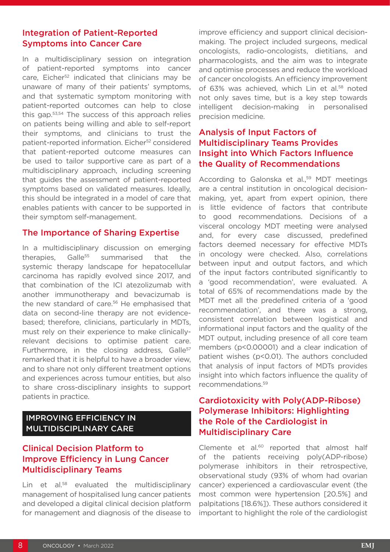#### Integration of Patient-Reported Symptoms into Cancer Care

In a multidisciplinary session on integration of patient-reported symptoms into cancer care, Eicher<sup>52</sup> indicated that clinicians may be unaware of many of their patients' symptoms, and that systematic symptom monitoring with patient-reported outcomes can help to close this gap.53,54 The success of this approach relies on patients being willing and able to self-report their symptoms, and clinicians to trust the patient-reported information. Eicher<sup>52</sup> considered that patient-reported outcome measures can be used to tailor supportive care as part of a multidisciplinary approach, including screening that guides the assessment of patient-reported symptoms based on validated measures. Ideally, this should be integrated in a model of care that enables patients with cancer to be supported in their symptom self-management.

#### The Importance of Sharing Expertise

In a multidisciplinary discussion on emerging therapies, Galle<sup>55</sup> summarised that the systemic therapy landscape for hepatocellular carcinoma has rapidly evolved since 2017, and that combination of the ICI atezolizumab with another immunotherapy and bevacizumab is the new standard of care.<sup>56</sup> He emphasised that data on second-line therapy are not evidencebased; therefore, clinicians, particularly in MDTs, must rely on their experience to make clinicallyrelevant decisions to optimise patient care. Furthermore, in the closing address, Galle<sup>57</sup> remarked that it is helpful to have a broader view, and to share not only different treatment options and experiences across tumour entities, but also to share cross-disciplinary insights to support patients in practice.

#### IMPROVING EFFICIENCY IN MULTIDISCIPLINARY CARE

#### Clinical Decision Platform to Improve Efficiency in Lung Cancer Multidisciplinary Teams

Lin et al.<sup>58</sup> evaluated the multidisciplinary management of hospitalised lung cancer patients and developed a digital clinical decision platform for management and diagnosis of the disease to improve efficiency and support clinical decisionmaking. The project included surgeons, medical oncologists, radio-oncologists, dietitians, and pharmacologists, and the aim was to integrate and optimise processes and reduce the workload of cancer oncologists. An efficiency improvement of 63% was achieved, which Lin et al.<sup>58</sup> noted not only saves time, but is a key step towards intelligent decision-making in personalised precision medicine.

#### Analysis of Input Factors of Multidisciplinary Teams Provides Insight into Which Factors Influence the Quality of Recommendations

According to Galonska et al.,<sup>59</sup> MDT meetings are a central institution in oncological decisionmaking, yet, apart from expert opinion, there is little evidence of factors that contribute to good recommendations. Decisions of a visceral oncology MDT meeting were analysed and, for every case discussed, predefined factors deemed necessary for effective MDTs in oncology were checked. Also, correlations between input and output factors, and which of the input factors contributed significantly to a 'good recommendation', were evaluated. A total of 65% of recommendations made by the MDT met all the predefined criteria of a 'good recommendation', and there was a strong, consistent correlation between logistical and informational input factors and the quality of the MDT output, including presence of all core team members (p<0.00001) and a clear indication of patient wishes (p<0.01). The authors concluded that analysis of input factors of MDTs provides insight into which factors influence the quality of recommendations.59

#### Cardiotoxicity with Poly(ADP-Ribose) Polymerase Inhibitors: Highlighting the Role of the Cardiologist in Multidisciplinary Care

Clemente et al.<sup>60</sup> reported that almost half of the patients receiving poly(ADP-ribose) polymerase inhibitors in their retrospective, observational study (93% of whom had ovarian cancer) experienced a cardiovascular event (the most common were hypertension [20.5%] and palpitations [18.6%]). These authors considered it important to highlight the role of the cardiologist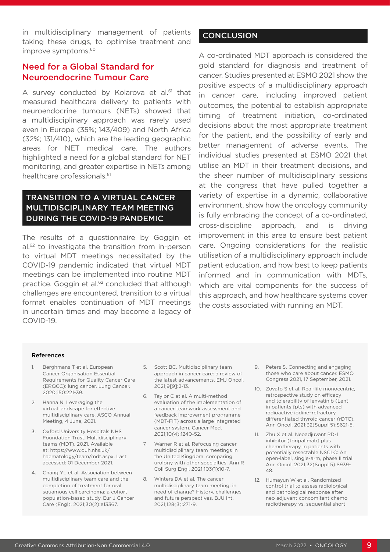in multidisciplinary management of patients taking these drugs, to optimise treatment and improve symptoms.<sup>60</sup>

#### Need for a Global Standard for Neuroendocrine Tumour Care

A survey conducted by Kolarova et al.<sup>61</sup> that measured healthcare delivery to patients with neuroendocrine tumours (NETs) showed that a multidisciplinary approach was rarely used even in Europe (35%; 143/409) and North Africa (32%; 131/410), which are the leading geographic areas for NET medical care. The authors highlighted a need for a global standard for NET monitoring, and greater expertise in NETs among healthcare professionals.<sup>61</sup>

#### TRANSITION TO A VIRTUAL CANCER MULTIDISCIPLINARY TEAM MEETING DURING THE COVID-19 PANDEMIC

The results of a questionnaire by Goggin et al.62 to investigate the transition from in-person to virtual MDT meetings necessitated by the COVID-19 pandemic indicated that virtual MDT meetings can be implemented into routine MDT practice. Goggin et al.<sup>62</sup> concluded that although challenges are encountered, transition to a virtual format enables continuation of MDT meetings in uncertain times and may become a legacy of COVID-19.

#### **CONCLUSION**

A co-ordinated MDT approach is considered the gold standard for diagnosis and treatment of cancer. Studies presented at ESMO 2021 show the positive aspects of a multidisciplinary approach in cancer care, including improved patient outcomes, the potential to establish appropriate timing of treatment initiation, co-ordinated decisions about the most appropriate treatment for the patient, and the possibility of early and better management of adverse events. The individual studies presented at ESMO 2021 that utilise an MDT in their treatment decisions, and the sheer number of multidisciplinary sessions at the congress that have pulled together a variety of expertise in a dynamic, collaborative environment, show how the oncology community is fully embracing the concept of a co-ordinated, cross-discipline approach, and is driving improvement in this area to ensure best patient care. Ongoing considerations for the realistic utilisation of a multidisciplinary approach include patient education, and how best to keep patients informed and in communication with MDTs, which are vital components for the success of this approach, and how healthcare systems cover the costs associated with running an MDT.

#### References

- 1. Berghmans T et al. European Cancer Organisation Essential Requirements for Quality Cancer Care (ERQCC): lung cancer. Lung Cancer. 2020;150:221-39.
- 2. Hanna N. Leveraging the virtual landscape for effective multidisciplinary care. ASCO Annual Meeting, 4 June, 2021.
- 3. Oxford University Hospitals NHS Foundation Trust. Multidisciplinary teams (MDT). 2021. Available at: https://www.ouh.nhs.uk/ haematology/team/mdt.aspx. Last accessed: 01 December 2021.
- 4. Chang YL et al. Association between multidisciplinary team care and the completion of treatment for oral squamous cell carcinoma: a cohort population-based study. Eur J Cancer Care (Engl). 2021;30(2):e13367.
- 5. Scott BC. Multidisciplinary team approach in cancer care: a review of the latest advancements. EMJ Oncol. 2021;9[9]:2-13.
- 6. Taylor C et al. A multi-method evaluation of the implementation of a cancer teamwork assessment and feedback improvement programme (MDT-FIT) across a large integrated cancer system. Cancer Med. 2021;10(4):1240-52.
- 7. Warner R et al. Refocusing cancer multidisciplinary team meetings in the United Kingdom: comparing urology with other specialties. Ann R Coll Surg Engl. 2021;103(1):10-7.
- 8. Winters DA et al. The cancer multidisciplinary team meeting: in need of change? History, challenges and future perspectives. BJU Int. 2021;128(3):271-9.
- 9. Peters S. Connecting and engaging those who care about cancer. ESMO Congress 2021, 17 September, 2021.
- 10. Zovato S et al. Real-life monocentric, retrospective study on efficacy and tolerability of lenvatinib (Len) in patients (pts) with advanced radioactive iodine–refractory differentiated thyroid cancer (rDTC). Ann Oncol. 2021;32(Suppl 5):S621-5.
- 11. Zhu X et al. Neoadjuvant PD-1 inhibitor (toripalimab) plus chemotherapy in patients with potentially resectable NSCLC: An open-label, single-arm, phase II trial. Ann Oncol. 2021;32(Suppl 5):S939- 48.
- 12. Humayun W et al. Randomized control trial to assess radiological and pathological response after neo adjuvant concomitant chemo radiotherapy vs. sequential short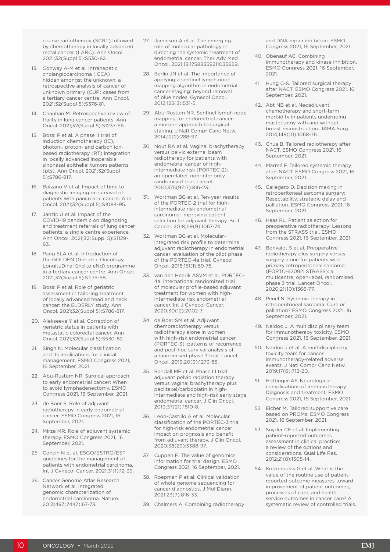course radiotherapy (SCRT) followed by chemotherapy in locally advanced rectal cancer (LARC). Ann Oncol. 2021;32(Suppl 5):S530-82.

- 13. Conway A-M et al. Intrahepatic cholangiocarcinoma (iCCA) hidden amongst the unknown: a retrospective analysis of cancer of unknown primary (CUP) cases from a tertiary cancer centre. Ann Oncol. 2021;32(Suppl 5):S376-81.
- 14. Chauhan M. Retrospective review of frailty in lung cancer patients. Ann Oncol. 2021;32(Suppl 5):S1237-56.
- 15. Bossi P et al. A phase II trial of induction chemotherapy (IC), photon-, proton- and carbon ionbased radiotherapy (RT) integration in locally advanced inoperable sinonasal epithelial tumors patients (pts). Ann Oncol. 2021;32(Suppl 5):S786-817.
- 16. Balzano V et al. Impact of time to diagnostic imaging on survival of patients with pancreatic cancer. Ann Oncol. 2021;32(Suppl 5):S1084-95.
- 17. Janzic U et al. Impact of the COVID-19 pandemic on diagnosing and treatment referrals of lung cancer patients: a single centre experience. Ann Oncol. 2021;32(Suppl 5):S1129- 63.
- 18. Pang SLA et al. Introduction of the GOLDEN (Geriatric Oncology LongituDinal End to eNd) programme in a tertiary cancer centre. Ann Oncol. 2021;32(Suppl 5):S1175-98.
- 19. Bossi P et al. Role of geriatric assessment in tailoring treatment of locally advanced head and neck cancer: the ELDERLY study. Ann Oncol. 2021;32(Suppl 5):S786-817.
- 20. Alekseeva Y et al. Correction of geriatric status in patients with metastatic colorectal cancer. Ann Oncol. 2021;32(Suppl 5):S530-82.
- 21. Singh N. Molecular classification and its implications for clinical management. ESMO Congress 2021, 16 September, 2021.
- 22. Abu-Rustum NR. Surgical approach to early endometrial cancer: When to avoid lymphadenectomy. ESMO Congress 2021, 16 September, 2021.
- 23. de Boer S. Role of adjuvant radiotherapy in early endometrial cancer. ESMO Congress 2021, 16 September, 2021.
- 24. Mirza MR. Role of adjuvant systemic therapy. ESMO Congress 2021, 16 September, 2021.
- 25. Concin N et al. ESGO/ESTRO/ESP guidelines for the management of patients with endometrial carcinoma. Int J Gynecol Cancer. 2021;31(1):12-39.
- 26. Cancer Genome Atlas Research Network et al. Integrated genomic characterization of endometrial carcinoma. Nature. 2013;497(7447):67-73.
- 27. Jamieson A et al. The emerging role of molecular pathology in directing the systemic treatment of endometrial cancer. Ther Adv Med Oncol. 2021;13:17588359211035959.
- 28. Barlin JN et al. The importance of applying a sentinel lymph node mapping algorithm in endometrial cancer staging: beyond removal of blue nodes. Gynecol Oncol. 2012;125(3):531-5.
- 29. Abu-Rustum NR. Sentinel lymph node mapping for endometrial cancer: a modern approach to surgical staging. J Natl Compr Canc Netw. 2014;12(2):288-97.
- 30. Nout RA et al. Vaginal brachytherapy versus pelvic external beam radiotherapy for patients with endometrial cancer of highintermediate risk (PORTEC-2): an open-label, non-inferiority, randomised trial. Lancet. 2010;375(9717):816-23.
- 31. Wortman BG et al. Ten-year results of the PORTEC-2 trial for highintermediate risk endometrial carcinoma: improving patient selection for adjuvant therapy. Br J Cancer. 2018;119(9):1067-74.
- 32. Wortman BG et al. Molecularintegrated risk profile to determine adjuvant radiotherapy in endometrial cancer: evaluation of the pilot phase of the PORTEC-4a trial. Gynecol Oncol. 2018;151(1):69-75.
- 33. van den Heerik ASVM et al. PORTEC-4a: international randomized trial of molecular profile-based adjuvant treatment for women with highintermediate risk endometrial cancer. Int J Gynecol Cancer. 2020;30(12):2002-7.
- 34. de Boer SM et al. Adjuvant chemoradiotherapy versus radiotherapy alone in women with high-risk endometrial cancer (PORTEC-3): patterns of recurrence and post-hoc survival analysis of a randomised phase 3 trial. Lancet Oncol. 2019;20(9):1273-85.
- 35. Randall ME et al. Phase III trial: adjuvant pelvic radiation therapy versus vaginal brachytherapy plus paclitaxel/carboplatin in highintermediate and high-risk early stage endometrial cancer. J Clin Oncol. 2019;37(21):1810-8.
- 36. León-Castillo A et al. Molecular classification of the PORTEC-3 trial for high-risk endometrial cancer: impact on prognosis and benefit from adjuvant therapy. J Clin Oncol. 2020;38(29):3388-97.
- 37. Cuppen E. The value of genomics information for trial design. ESMO Congress 2021, 16 September, 2021.
- 38. Roepman P et al. Clinical validation of whole genome sequencing for cancer diagnostics. J Mol Diagn. 2021;23(7):816-33.
- 39. Chalmers A. Combining radiotherapy

and DNA repair inhibition. ESMO Congress 2021, 16 September, 2021.

- 40. Obenauf AC. Combining immunotherapy and kinase inhibition. ESMO Congress 2021, 16 September, 2021.
- 41. Hung C-S. Tailored surgical therapy after NACT. ESMO Congress 2021, 16 September, 2021.
- 42. Abt NB et al. Neoadjuvant chemotherapy and short-term morbidity in patients undergoing mastectomy with and without breast reconstruction. JAMA Surg. 2014;149(10):1068-76.
- 43. Chua B. Tailored radiotherapy after NACT. ESMO Congress 2021, 16 September, 2021.
- 44. Marmé F. Tailored systemic therapy after NACT. ESMO Congress 2021, 16 September, 2021.
- 45. Callegaro D. Decision making in retroperitoneal sarcoma surgery: Resectability, strategic delay and palliation. ESMO Congress 2021, 16 September, 2021.
- 46. Haas RL. Patient selection for preoperative radiotherapy: Lessons from the STRASS trial. ESMO Congress 2021, 16 September, 2021.
- 47. Bonvalot S et al. Preoperative radiotherapy plus surgery versus surgery alone for patients with primary retroperitoneal sarcoma (EORTC-62092: STRASS): a multicentre, open-label, randomised, phase 3 trial. Lancet Oncol. 2020;21(10):1366-77.
- 48. Penel N. Systemic therapy in retroperitoneal sarcoma: Cure or palliation? ESMO Congress 2021, 16 September, 2021.
- 49. Naidoo J. A multidisciplinary team for immunotherapy toxicity. ESMO Congress 2021, 16 September, 2021.
- 50. Naidoo J et al. A multidisciplinary toxicity team for cancer immunotherapy-related adverse events. J Natl Compr Canc Netw. 2019;17(6):712-20.
- 51. Hottinger AF. Neurological complications of immunotherapy: Diagnosis and treatment. ESMO Congress 2021, 16 September, 2021.
- 52. Eicher M. Tailored supportive care based on PROMs. ESMO Congress 2021, 16 September, 2021.
- 53. Snyder CF et al. Implementing patient-reported outcomes assessment in clinical practice: a review of the options and considerations. Qual Life Res. 2012;21(8):1305-14.
- 54. Kotronoulas G et al. What is the value of the routine use of patientreported outcome measures toward improvement of patient outcomes, processes of care, and health service outcomes in cancer care? A systematic review of controlled trials.